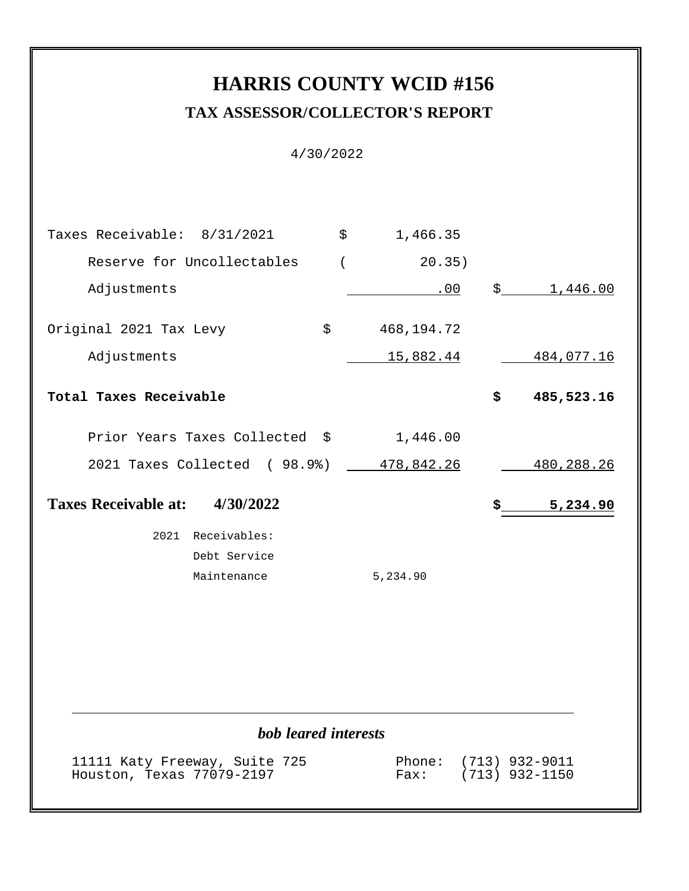# **HARRIS COUNTY WCID #156 TAX ASSESSOR/COLLECTOR'S REPORT**

4/30/2022

| Taxes Receivable: 8/31/2021<br>$\ddot{s}$<br>1,466.35<br>Reserve for Uncollectables<br>$\overline{(\ }$<br>20.35)<br>Adjustments<br>\$1,446.00<br>.00<br>Original 2021 Tax Levy<br>\$<br>468,194.72<br>Adjustments<br><u>15,882.44</u><br><u>484,077.16</u><br>Total Taxes Receivable<br>\$<br>485,523.16<br>Prior Years Taxes Collected \$<br>1,446.00<br>2021 Taxes Collected (98.9%)<br>478,842.26<br>480, 288. 26<br>Taxes Receivable at: 4/30/2022<br>\$<br>5,234.90<br>2021 Receivables:<br>Debt Service<br>Maintenance<br>5,234.90 |
|-------------------------------------------------------------------------------------------------------------------------------------------------------------------------------------------------------------------------------------------------------------------------------------------------------------------------------------------------------------------------------------------------------------------------------------------------------------------------------------------------------------------------------------------|
|                                                                                                                                                                                                                                                                                                                                                                                                                                                                                                                                           |
|                                                                                                                                                                                                                                                                                                                                                                                                                                                                                                                                           |
|                                                                                                                                                                                                                                                                                                                                                                                                                                                                                                                                           |
|                                                                                                                                                                                                                                                                                                                                                                                                                                                                                                                                           |
|                                                                                                                                                                                                                                                                                                                                                                                                                                                                                                                                           |
|                                                                                                                                                                                                                                                                                                                                                                                                                                                                                                                                           |
|                                                                                                                                                                                                                                                                                                                                                                                                                                                                                                                                           |
|                                                                                                                                                                                                                                                                                                                                                                                                                                                                                                                                           |
|                                                                                                                                                                                                                                                                                                                                                                                                                                                                                                                                           |
|                                                                                                                                                                                                                                                                                                                                                                                                                                                                                                                                           |
|                                                                                                                                                                                                                                                                                                                                                                                                                                                                                                                                           |
|                                                                                                                                                                                                                                                                                                                                                                                                                                                                                                                                           |
|                                                                                                                                                                                                                                                                                                                                                                                                                                                                                                                                           |
|                                                                                                                                                                                                                                                                                                                                                                                                                                                                                                                                           |
|                                                                                                                                                                                                                                                                                                                                                                                                                                                                                                                                           |
| bob leared interests                                                                                                                                                                                                                                                                                                                                                                                                                                                                                                                      |
| 11111 Katy Freeway, Suite 725<br>Phone:<br>$(713)$ 932-9011                                                                                                                                                                                                                                                                                                                                                                                                                                                                               |

Houston, Texas 77079-2197 Fax: (713) 932-1150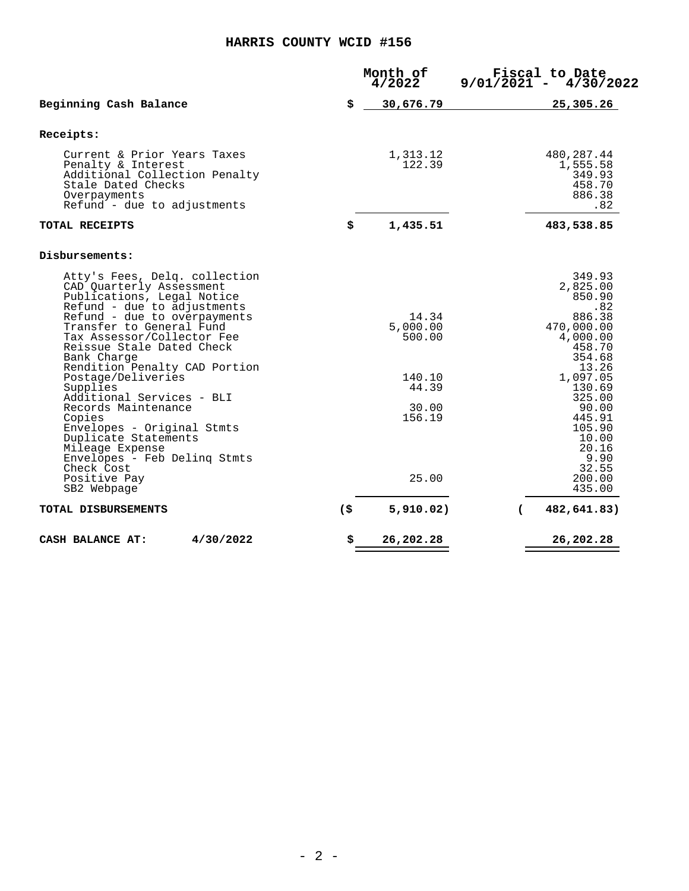|        | 4/2022                      |                    | Fiscal to Date<br>4/30/2022                                                                 |
|--------|-----------------------------|--------------------|---------------------------------------------------------------------------------------------|
| \$     | 30,676.79                   |                    | 25,305.26                                                                                   |
|        |                             |                    |                                                                                             |
|        | 1,313.12<br>122.39          |                    | 480,287.44<br>1,555.58<br>349.93<br>458.70<br>886.38<br>.82                                 |
| \$     | 1,435.51                    |                    | 483,538.85                                                                                  |
|        |                             |                    |                                                                                             |
|        | 14.34<br>5,000.00<br>500.00 |                    | 349.93<br>2,825.00<br>850.90<br>.82<br>886.38<br>470,000.00<br>4,000.00<br>458.70<br>354.68 |
|        | 140.10<br>44.39<br>30.00    |                    | 13.26<br>1,097.05<br>130.69<br>325.00<br>90.00<br>445.91                                    |
|        | 25.00                       |                    | 105.90<br>10.00<br>20.16<br>9.90<br>32.55<br>200.00<br>435.00                               |
| $($ \$ | 5,910.02)                   |                    | 482,641.83)                                                                                 |
| \$     | 26,202.28                   |                    | 26,202.28                                                                                   |
|        |                             | Month of<br>156.19 | $9/01/2021 -$<br>$\sqrt{2}$                                                                 |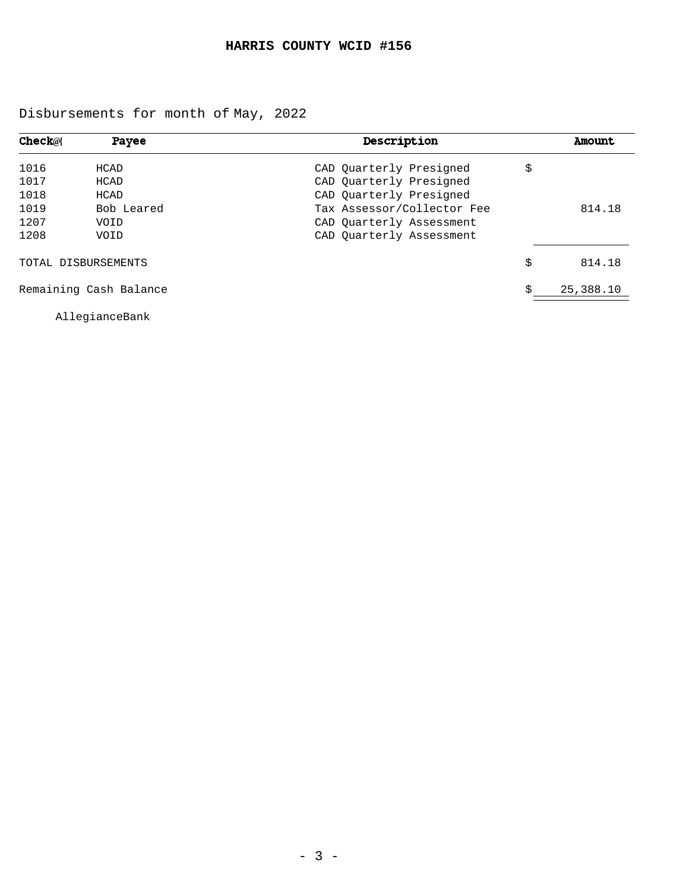Disbursements for month of May, 2022

| <b>Check@</b> | <b>Payee</b>           | Description                |    | Amount    |
|---------------|------------------------|----------------------------|----|-----------|
| 1016          | HCAD                   | CAD Quarterly Presigned    | \$ |           |
| 1017          | HCAD                   | CAD Quarterly Presigned    |    |           |
| 1018          | HCAD                   | CAD Quarterly Presigned    |    |           |
| 1019          | Bob Leared             | Tax Assessor/Collector Fee |    | 814.18    |
| 1207          | VOID                   | CAD Quarterly Assessment   |    |           |
| 1208          | VOID                   | CAD Ouarterly Assessment   |    |           |
|               | TOTAL DISBURSEMENTS    |                            | \$ | 814.18    |
|               | Remaining Cash Balance |                            | Ś  | 25,388.10 |

AllegianceBank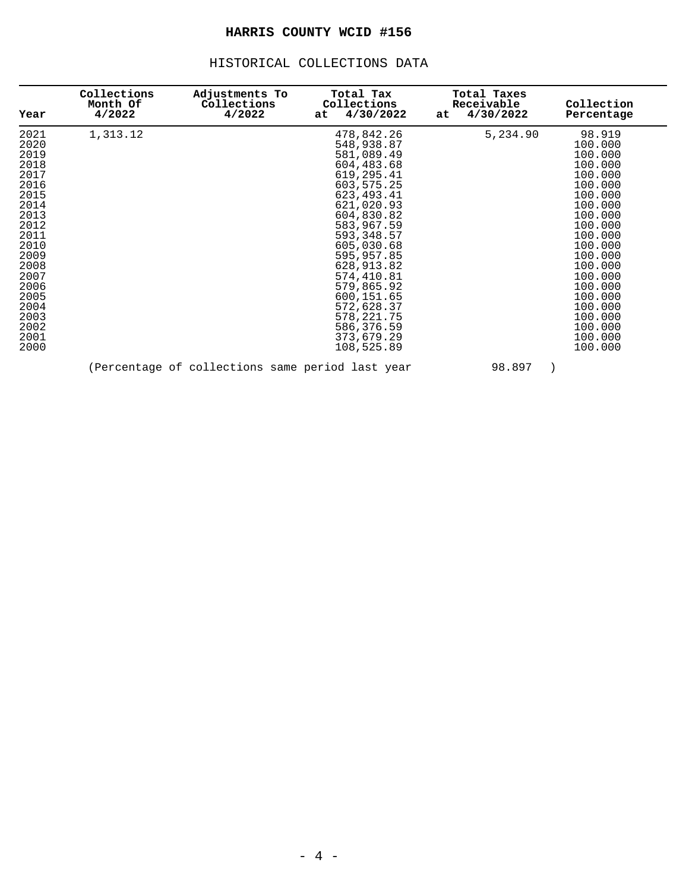#### HISTORICAL COLLECTIONS DATA

| Year | Collections<br>Month Of<br>4/2022 | Adjustments To<br>Collections<br>4/2022          | Total Tax<br>Collections<br>4/30/2022<br>at | Total Taxes<br>Receivable<br>4/30/2022<br>at | Collection<br>Percentage |
|------|-----------------------------------|--------------------------------------------------|---------------------------------------------|----------------------------------------------|--------------------------|
| 2021 | 1,313.12                          |                                                  | 478,842.26                                  | 5,234.90                                     | 98.919                   |
| 2020 |                                   |                                                  | 548,938.87                                  |                                              | 100.000                  |
| 2019 |                                   |                                                  | 581,089.49                                  |                                              | 100.000                  |
| 2018 |                                   |                                                  | 604,483.68                                  |                                              | 100.000                  |
| 2017 |                                   |                                                  | 619,295.41                                  |                                              | 100.000                  |
| 2016 |                                   |                                                  | 603,575.25                                  |                                              | 100.000                  |
| 2015 |                                   |                                                  | 623, 493. 41                                |                                              | 100.000                  |
| 2014 |                                   |                                                  | 621,020.93                                  |                                              | 100.000                  |
| 2013 |                                   |                                                  | 604,830.82                                  |                                              | 100.000                  |
| 2012 |                                   |                                                  | 583,967.59                                  |                                              | 100.000                  |
| 2011 |                                   |                                                  | 593, 348.57                                 |                                              | 100.000                  |
| 2010 |                                   |                                                  | 605,030.68                                  |                                              | 100.000                  |
| 2009 |                                   |                                                  | 595,957.85                                  |                                              | 100.000                  |
| 2008 |                                   |                                                  | 628,913.82                                  |                                              | 100.000                  |
| 2007 |                                   |                                                  | 574,410.81                                  |                                              | 100.000                  |
| 2006 |                                   |                                                  | 579,865.92                                  |                                              | 100.000                  |
| 2005 |                                   |                                                  | 600,151.65                                  |                                              | 100.000                  |
| 2004 |                                   |                                                  | 572,628.37                                  |                                              | 100.000                  |
| 2003 |                                   |                                                  | 578, 221. 75                                |                                              | 100.000                  |
| 2002 |                                   |                                                  | 586,376.59                                  |                                              | 100.000                  |
| 2001 |                                   |                                                  | 373,679.29                                  |                                              | 100.000                  |
| 2000 |                                   |                                                  | 108,525.89                                  |                                              | 100.000                  |
|      |                                   | (Percentage of collections same period last year |                                             | 98.897                                       |                          |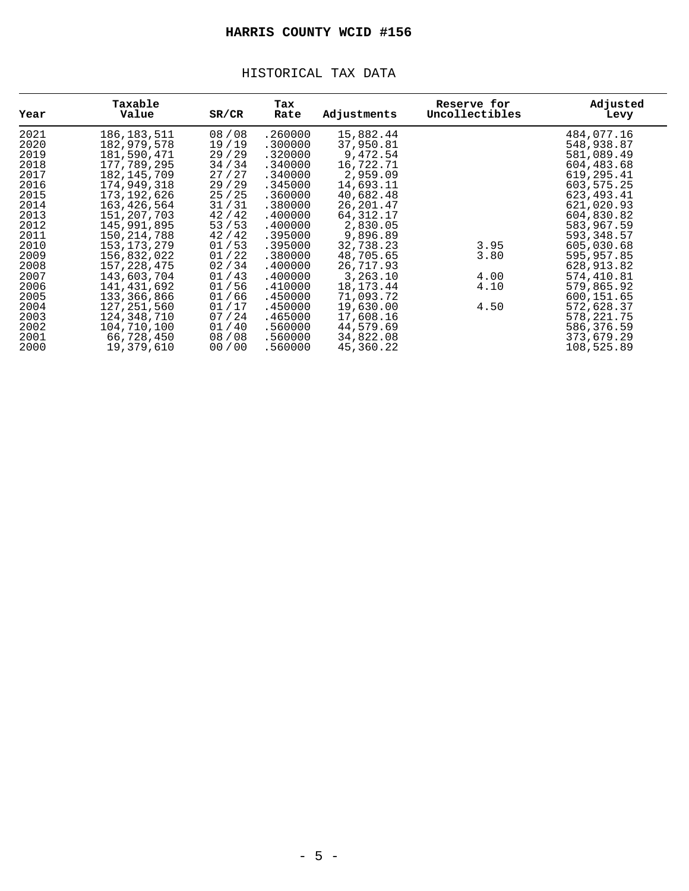#### HISTORICAL TAX DATA

| Year | Taxable<br>Value | SR/CR   | Tax<br>Rate | Adjustments | Reserve for<br>Uncollectibles | Adjusted<br>Levy |
|------|------------------|---------|-------------|-------------|-------------------------------|------------------|
| 2021 | 186, 183, 511    | 08/08   | .260000     | 15,882.44   |                               | 484,077.16       |
| 2020 | 182,979,578      | 19/19   | .300000     | 37,950.81   |                               | 548,938.87       |
| 2019 | 181,590,471      | 29/29   | .320000     | 9,472.54    |                               | 581,089.49       |
| 2018 | 177,789,295      | 34 / 34 | .340000     | 16,722.71   |                               | 604,483.68       |
| 2017 | 182, 145, 709    | 27/27   | .340000     | 2,959.09    |                               | 619,295.41       |
| 2016 | 174,949,318      | 29/29   | .345000     | 14,693.11   |                               | 603,575.25       |
| 2015 | 173,192,626      | 25/25   | .360000     | 40,682.48   |                               | 623, 493. 41     |
| 2014 | 163,426,564      | 31/31   | .380000     | 26, 201.47  |                               | 621,020.93       |
| 2013 | 151,207,703      | 42/42   | .400000     | 64, 312. 17 |                               | 604,830.82       |
| 2012 | 145,991,895      | 53/53   | .400000     | 2,830.05    |                               | 583,967.59       |
| 2011 | 150, 214, 788    | 42/42   | .395000     | 9,896.89    |                               | 593,348.57       |
| 2010 | 153, 173, 279    | 01/53   | .395000     | 32,738.23   | 3.95                          | 605,030.68       |
| 2009 | 156,832,022      | 01/22   | .380000     | 48,705.65   | 3.80                          | 595,957.85       |
| 2008 | 157, 228, 475    | 02/34   | .400000     | 26,717.93   |                               | 628,913.82       |
| 2007 | 143,603,704      | 01/43   | .400000     | 3,263.10    | 4.00                          | 574,410.81       |
| 2006 | 141,431,692      | 01/56   | .410000     | 18, 173. 44 | 4.10                          | 579,865.92       |
| 2005 | 133,366,866      | 01/66   | .450000     | 71,093.72   |                               | 600,151.65       |
| 2004 | 127, 251, 560    | 01/17   | .450000     | 19,630.00   | 4.50                          | 572,628.37       |
| 2003 | 124,348,710      | 07/24   | .465000     | 17,608.16   |                               | 578, 221. 75     |
| 2002 | 104,710,100      | 01/40   | .560000     | 44,579.69   |                               | 586,376.59       |
| 2001 | 66,728,450       | 08/08   | .560000     | 34,822.08   |                               | 373,679.29       |
| 2000 | 19,379,610       | 00/00   | .560000     | 45,360.22   |                               | 108,525.89       |
|      |                  |         |             |             |                               |                  |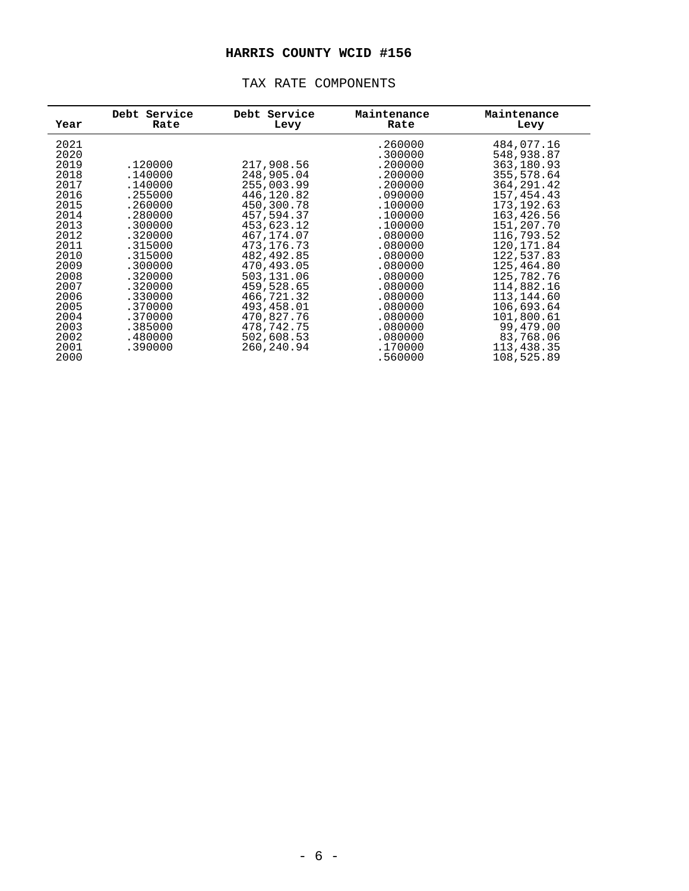| Year | Debt Service<br>Rate | Debt Service<br>Levy | Maintenance<br>Rate | Maintenance<br>Levy |
|------|----------------------|----------------------|---------------------|---------------------|
| 2021 |                      |                      | .260000             | 484,077.16          |
| 2020 |                      |                      | .300000             | 548,938.87          |
| 2019 | .120000              | 217,908.56           | .200000             | 363,180.93          |
| 2018 | .140000              | 248,905.04           | .200000             | 355,578.64          |
| 2017 | .140000              | 255,003.99           | .200000             | 364, 291.42         |
| 2016 | .255000              | 446,120.82           | .090000             | 157,454.43          |
| 2015 | .260000              | 450,300.78           | .100000             | 173, 192.63         |
| 2014 | .280000              | 457,594.37           | .100000             | 163,426.56          |
| 2013 | .300000              | 453,623.12           | .100000             | 151,207.70          |
| 2012 | .320000              | 467,174.07           | .080000             | 116,793.52          |
| 2011 | .315000              | 473, 176. 73         | .080000             | 120, 171.84         |
| 2010 | .315000              | 482,492.85           | .080000             | 122,537.83          |
| 2009 | .300000              | 470,493.05           | .080000             | 125,464.80          |
| 2008 | .320000              | 503,131.06           | .080000             | 125,782.76          |
| 2007 | .320000              | 459,528.65           | .080000             | 114,882.16          |
| 2006 | .330000              | 466,721.32           | .080000             | 113,144.60          |
| 2005 | .370000              | 493,458.01           | .080000             | 106,693.64          |
| 2004 | .370000              | 470,827.76           | .080000             | 101,800.61          |
| 2003 | .385000              | 478,742.75           | .080000             | 99,479.00           |
| 2002 | .480000              | 502,608.53           | .080000             | 83,768.06           |
| 2001 | .390000              | 260,240.94           | .170000             | 113,438.35          |
| 2000 |                      |                      | .560000             | 108,525.89          |
|      |                      |                      |                     |                     |

#### TAX RATE COMPONENTS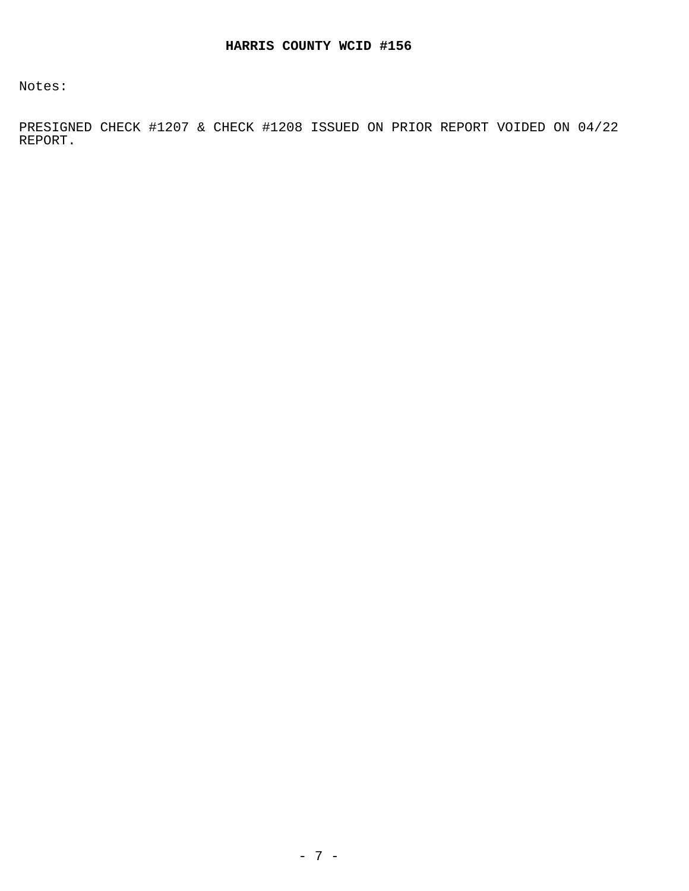Notes:

PRESIGNED CHECK #1207 & CHECK #1208 ISSUED ON PRIOR REPORT VOIDED ON 04/22 REPORT.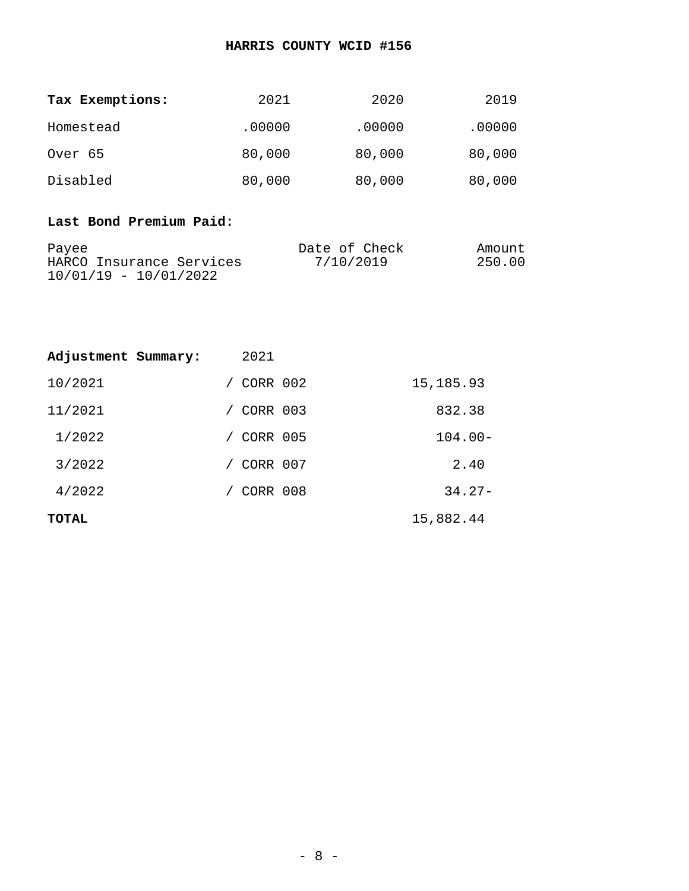| Tax Exemptions: | 2021   | 2020   | 2019   |
|-----------------|--------|--------|--------|
| Homestead       | .00000 | .00000 | .00000 |
| Over 65         | 80,000 | 80,000 | 80,000 |
| Disabled        | 80,000 | 80,000 | 80,000 |

## **Last Bond Premium Paid:**

| Payee                    | Date of Check | Amount |
|--------------------------|---------------|--------|
| HARCO Insurance Services | 7/10/2019     | 250.00 |
| $10/01/19 - 10/01/2022$  |               |        |

| Adjustment Summary: | 2021     |            |
|---------------------|----------|------------|
| 10/2021             | CORR 002 | 15,185.93  |
| 11/2021             | CORR 003 | 832.38     |
| 1/2022              | CORR 005 | $104.00 -$ |
| 3/2022              | CORR 007 | 2.40       |
| 4/2022              | CORR 008 | $34.27 -$  |
| <b>TOTAL</b>        |          | 15,882.44  |